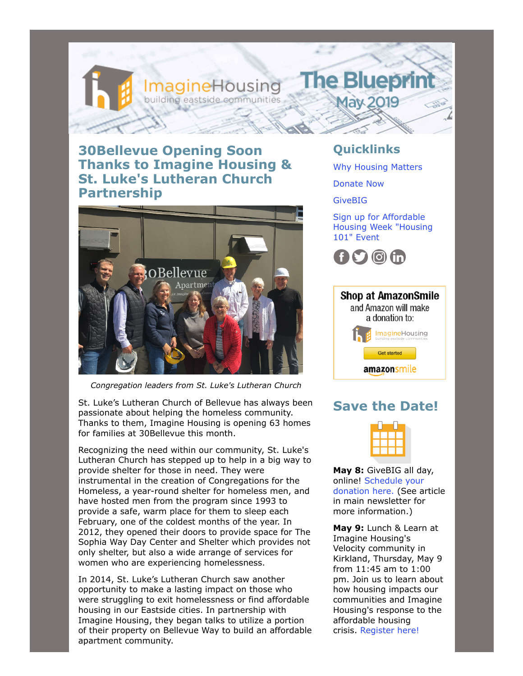# **30Bellevue Opening Soon Thanks to Imagine Housing & St. Luke's Lutheran Church Partnership**

building eastside ed

magineHousing



*Congregation leaders from St. Luke's Lutheran Church*

St. Luke's Lutheran Church of Bellevue has always been passionate about helping the homeless community. Thanks to them, Imagine Housing is opening 63 homes for families at 30Bellevue this month.

Recognizing the need within our community, St. Luke's Lutheran Church has stepped up to help in a big way to provide shelter for those in need. They were instrumental in the creation of Congregations for the Homeless, a year-round shelter for homeless men, and have hosted men from the program since 1993 to provide a safe, warm place for them to sleep each February, one of the coldest months of the year. In 2012, they opened their doors to provide space for The Sophia Way Day Center and Shelter which provides not only shelter, but also a wide arrange of services for women who are experiencing homelessness.

In 2014, St. Luke's Lutheran Church saw another opportunity to make a lasting impact on those who were struggling to exit homelessness or find affordable housing in our Eastside cities. In partnership with Imagine Housing, they began talks to utilize a portion of their property on Bellevue Way to build an affordable apartment community.

### **Quicklinks**

**The Blueprin** 

**May 2019** 

[Why Housing Matters](https://imaginehousing.org/why-housing-matters/)

[Donate Now](https://imaginehousing.org/get-involved/donate/)

[GiveBIG](https://www.givebig2019.org/imagine-housing)

Sign up for Affordable [Housing Week "Housing](https://www.eventbrite.com/e/affordable-housing-101-why-is-it-so-dang-hard-tickets-60266621086?aff=efbeventtix) 101" Event





## **Save the Date!**



**May 8:** GiveBIG all day, [online! Schedule your](https://www.givebig2019.org/imagine-housing) donation here. (See article in main newsletter for more information.)

**May 9:** Lunch & Learn at Imagine Housing's Velocity community in Kirkland, Thursday, May 9 from 11:45 am to 1:00 pm. Join us to learn about how housing impacts our communities and Imagine Housing's response to the affordable housing crisis. [Register here!](https://imaginehousing.org/get-involved/events/lunch-learn-with-imagine-housing/)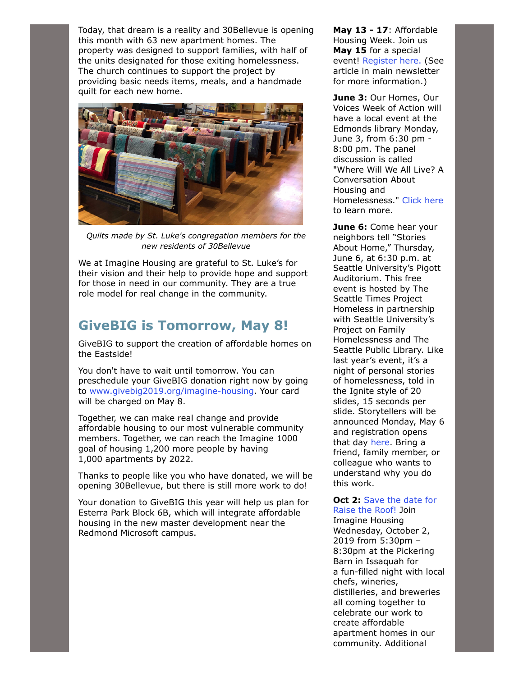Today, that dream is a reality and 30Bellevue is opening this month with 63 new apartment homes. The property was designed to support families, with half of the units designated for those exiting homelessness. The church continues to support the project by providing basic needs items, meals, and a handmade quilt for each new home.



*Quilts made by St. Luke's congregation members for the new residents of 30Bellevue*

We at Imagine Housing are grateful to St. Luke's for their vision and their help to provide hope and support for those in need in our community. They are a true role model for real change in the community.

## **GiveBIG is Tomorrow, May 8!**

GiveBIG to support the creation of affordable homes on the Eastside!

You don't have to wait until tomorrow. You can preschedule your GiveBIG donation right now by going to [www.givebig2019.org/imagine-housing.](https://www.givebig2019.org/imagine-housing) Your card will be charged on May 8.

Together, we can make real change and provide affordable housing to our most vulnerable community members. Together, we can reach the Imagine 1000 goal of housing 1,200 more people by having 1,000 apartments by 2022.

Thanks to people like you who have donated, we will be opening 30Bellevue, but there is still more work to do!

Your donation to GiveBIG this year will help us plan for Esterra Park Block 6B, which will integrate affordable housing in the new master development near the Redmond Microsoft campus.

**May 13 - 17**: Affordable Housing Week. Join us **May 15** for a special event! [Register here.](https://www.eventbrite.com/e/affordable-housing-101-why-is-it-so-dang-hard-tickets-60266621086?aff=efbeventtix) (See article in main newsletter for more information.)

**June 3:** Our Homes, Our Voices Week of Action will have a local event at the Edmonds library Monday, June 3, from 6:30 pm - 8:00 pm. The panel discussion is called "Where Will We All Live? A Conversation About Housing and Homelessness." [Click here](https://sno-isle.libnet.info/event/1877298) to learn more.

**June 6:** Come hear your neighbors tell "Stories About Home," Thursday, June 6, at 6:30 p.m. at Seattle University's Pigott Auditorium. This free event is hosted by The Seattle Times Project Homeless in partnership with Seattle University's Project on Family Homelessness and The Seattle Public Library. Like last year's event, it's a night of personal stories of homelessness, told in the Ignite style of 20 slides, 15 seconds per slide. Storytellers will be announced Monday, May 6 and registration opens that day [here.](https://www.eventbrite.com/e/stories-about-home-tickets-61327138121) Bring a friend, family member, or colleague who wants to understand why you do this work.

#### **Oct 2:** Save the date for [Raise the Roof! Join](https://imaginehousing.org/raise-the-roof/)

Imagine Housing Wednesday, October 2, 2019 from 5:30pm – 8:30pm at the Pickering Barn in Issaquah for a fun-filled night with local chefs, wineries, distilleries, and breweries all coming together to celebrate our work to create affordable apartment homes in our community. Additional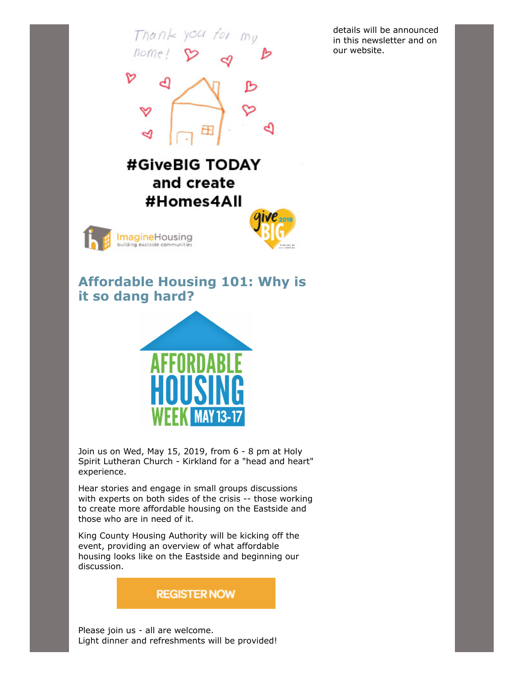$Tnan \ge yocf$  for  $M_{U}$ nome D #GiveBIG TODAY

in this newsletter and on our website.

details will be announced





# **Affordable Housing 101: Why is it so dang hard?**



Join us on Wed, May 15, 2019, from 6 - 8 pm at Holy Spirit Lutheran Church - Kirkland for a "head and heart" experience.

Hear stories and engage in small groups discussions with experts on both sides of the crisis -- those working to create more affordable housing on the Eastside and those who are in need of it.

King County Housing Authority will be kicking off the event, providing an overview of what affordable housing looks like on the Eastside and beginning our discussion.

### **REGISTER NOW**

Please join us - all are welcome. Light dinner and refreshments will be provided!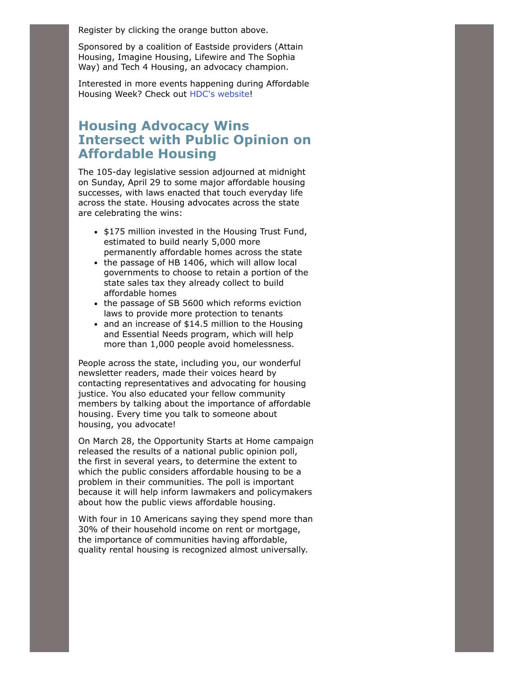Register by clicking the orange button above.

Sponsored by a coalition of Eastside providers (Attain Housing, Imagine Housing, Lifewire and The Sophia Way) and Tech 4 Housing, an advocacy champion.

Interested in more events happening during Affordable Housing Week? Check out [HDC's website](https://www.housingconsortium.org/affordable-housing-week/)!

### **Housing Advocacy Wins Intersect with Public Opinion on Affordable Housing**

The 105-day legislative session adjourned at midnight on Sunday, April 29 to some major affordable housing successes, with laws enacted that touch everyday life across the state. Housing advocates across the state are celebrating the wins:

- \$175 million invested in the Housing Trust Fund, estimated to build nearly 5,000 more permanently affordable homes across the state
- the passage of HB 1406, which will allow local governments to choose to retain a portion of the state sales tax they already collect to build affordable homes
- the passage of SB 5600 which reforms eviction laws to provide more protection to tenants
- and an increase of \$14.5 million to the Housing and Essential Needs program, which will help more than 1,000 people avoid homelessness.

People across the state, including you, our wonderful newsletter readers, made their voices heard by contacting representatives and advocating for housing justice. You also educated your fellow community members by talking about the importance of affordable housing. Every time you talk to someone about housing, you advocate!

On March 28, the Opportunity Starts at Home campaign released the results of a national public opinion poll, the first in several years, to determine the extent to which the public considers affordable housing to be a problem in their communities. The poll is important because it will help inform lawmakers and policymakers about how the public views affordable housing.

With four in 10 Americans saying they spend more than 30% of their household income on rent or mortgage, the importance of communities having affordable, quality rental housing is recognized almost universally.